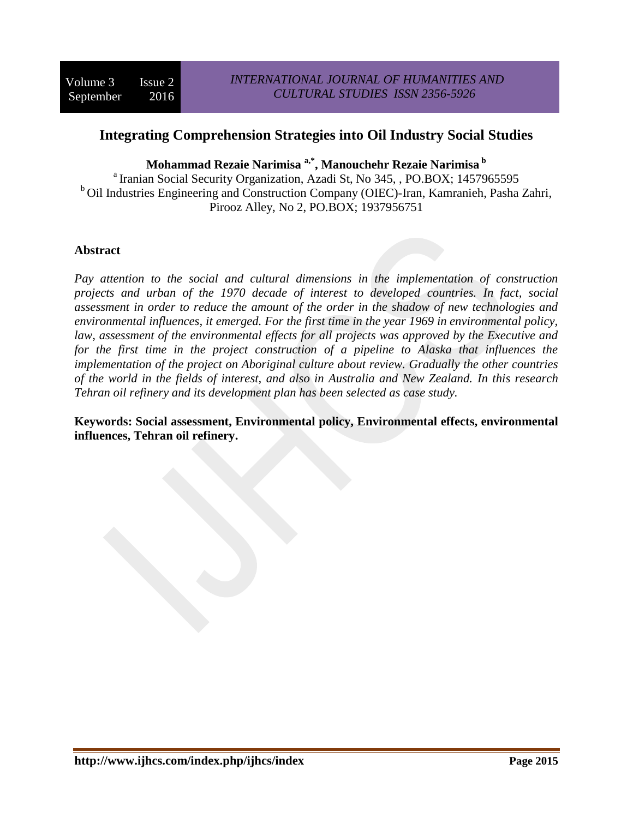# **Integrating Comprehension Strategies into Oil Industry Social Studies**

**Mohammad Rezaie Narimisa a,\* , Manouchehr Rezaie Narimisa b**

<sup>a</sup> Iranian Social Security Organization, Azadi St, No 345, , PO.BOX; 1457965595 <sup>b</sup>Oil Industries Engineering and Construction Company (OIEC)-Iran, Kamranieh, Pasha Zahri, Pirooz Alley, No 2, PO.BOX; 1937956751

# **Abstract**

*Pay attention to the social and cultural dimensions in the implementation of construction projects and urban of the 1970 decade of interest to developed countries. In fact, social assessment in order to reduce the amount of the order in the shadow of new technologies and environmental influences, it emerged. For the first time in the year 1969 in environmental policy, law, assessment of the environmental effects for all projects was approved by the Executive and*  for the first time in the project construction of a pipeline to Alaska that influences the *implementation of the project on Aboriginal culture about review. Gradually the other countries of the world in the fields of interest, and also in Australia and New Zealand. In this research Tehran oil refinery and its development plan has been selected as case study.* 

**Keywords: Social assessment, Environmental policy, Environmental effects, environmental influences, Tehran oil refinery.**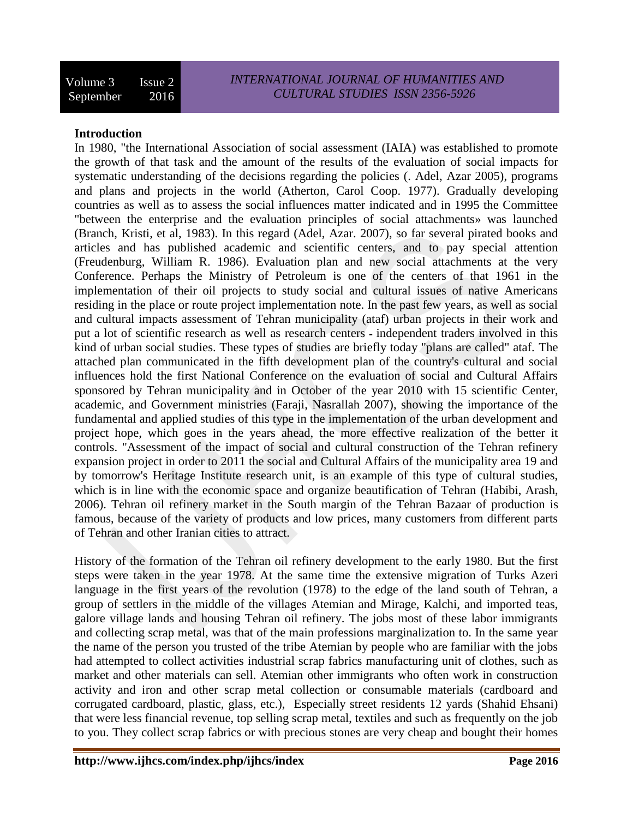#### **Introduction**

In 1980, "the International Association of social assessment (IAIA) was established to promote the growth of that task and the amount of the results of the evaluation of social impacts for systematic understanding of the decisions regarding the policies (. Adel, Azar 2005), programs and plans and projects in the world (Atherton, Carol Coop. 1977). Gradually developing countries as well as to assess the social influences matter indicated and in 1995 the Committee "between the enterprise and the evaluation principles of social attachments» was launched (Branch, Kristi, et al, 1983). In this regard (Adel, Azar. 2007), so far several pirated books and articles and has published academic and scientific centers, and to pay special attention (Freudenburg, William R. 1986). Evaluation plan and new social attachments at the very Conference. Perhaps the Ministry of Petroleum is one of the centers of that 1961 in the implementation of their oil projects to study social and cultural issues of native Americans residing in the place or route project implementation note. In the past few years, as well as social and cultural impacts assessment of Tehran municipality (ataf) urban projects in their work and put a lot of scientific research as well as research centers ـ independent traders involved in this kind of urban social studies. These types of studies are briefly today "plans are called" ataf. The attached plan communicated in the fifth development plan of the country's cultural and social influences hold the first National Conference on the evaluation of social and Cultural Affairs sponsored by Tehran municipality and in October of the year 2010 with 15 scientific Center, academic, and Government ministries (Faraji, Nasrallah 2007), showing the importance of the fundamental and applied studies of this type in the implementation of the urban development and project hope, which goes in the years ahead, the more effective realization of the better it controls. "Assessment of the impact of social and cultural construction of the Tehran refinery expansion project in order to 2011 the social and Cultural Affairs of the municipality area 19 and by tomorrow's Heritage Institute research unit, is an example of this type of cultural studies, which is in line with the economic space and organize beautification of Tehran (Habibi, Arash, 2006). Tehran oil refinery market in the South margin of the Tehran Bazaar of production is famous, because of the variety of products and low prices, many customers from different parts of Tehran and other Iranian cities to attract.

History of the formation of the Tehran oil refinery development to the early 1980. But the first steps were taken in the year 1978. At the same time the extensive migration of Turks Azeri language in the first years of the revolution (1978) to the edge of the land south of Tehran, a group of settlers in the middle of the villages Atemian and Mirage, Kalchi, and imported teas, galore village lands and housing Tehran oil refinery. The jobs most of these labor immigrants and collecting scrap metal, was that of the main professions marginalization to. In the same year the name of the person you trusted of the tribe Atemian by people who are familiar with the jobs had attempted to collect activities industrial scrap fabrics manufacturing unit of clothes, such as market and other materials can sell. Atemian other immigrants who often work in construction activity and iron and other scrap metal collection or consumable materials (cardboard and corrugated cardboard, plastic, glass, etc.), Especially street residents 12 yards (Shahid Ehsani) that were less financial revenue, top selling scrap metal, textiles and such as frequently on the job to you. They collect scrap fabrics or with precious stones are very cheap and bought their homes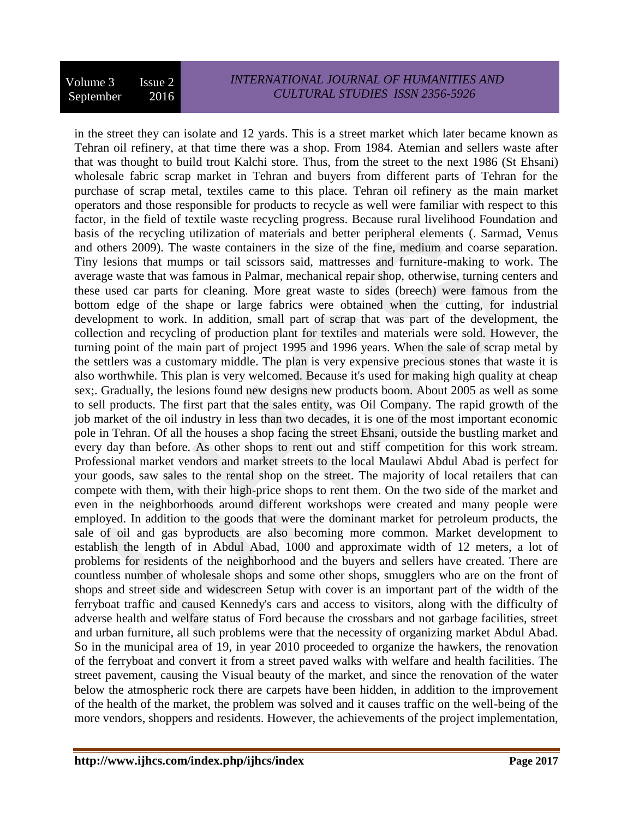in the street they can isolate and 12 yards. This is a street market which later became known as Tehran oil refinery, at that time there was a shop. From 1984. Atemian and sellers waste after that was thought to build trout Kalchi store. Thus, from the street to the next 1986 (St Ehsani) wholesale fabric scrap market in Tehran and buyers from different parts of Tehran for the purchase of scrap metal, textiles came to this place. Tehran oil refinery as the main market operators and those responsible for products to recycle as well were familiar with respect to this factor, in the field of textile waste recycling progress. Because rural livelihood Foundation and basis of the recycling utilization of materials and better peripheral elements (. Sarmad, Venus and others 2009). The waste containers in the size of the fine, medium and coarse separation. Tiny lesions that mumps or tail scissors said, mattresses and furniture-making to work. The average waste that was famous in Palmar, mechanical repair shop, otherwise, turning centers and these used car parts for cleaning. More great waste to sides (breech) were famous from the bottom edge of the shape or large fabrics were obtained when the cutting, for industrial development to work. In addition, small part of scrap that was part of the development, the collection and recycling of production plant for textiles and materials were sold. However, the turning point of the main part of project 1995 and 1996 years. When the sale of scrap metal by the settlers was a customary middle. The plan is very expensive precious stones that waste it is also worthwhile. This plan is very welcomed. Because it's used for making high quality at cheap sex;. Gradually, the lesions found new designs new products boom. About 2005 as well as some to sell products. The first part that the sales entity, was Oil Company. The rapid growth of the job market of the oil industry in less than two decades, it is one of the most important economic pole in Tehran. Of all the houses a shop facing the street Ehsani, outside the bustling market and every day than before. As other shops to rent out and stiff competition for this work stream. Professional market vendors and market streets to the local Maulawi Abdul Abad is perfect for your goods, saw sales to the rental shop on the street. The majority of local retailers that can compete with them, with their high-price shops to rent them. On the two side of the market and even in the neighborhoods around different workshops were created and many people were employed. In addition to the goods that were the dominant market for petroleum products, the sale of oil and gas byproducts are also becoming more common. Market development to establish the length of in Abdul Abad, 1000 and approximate width of 12 meters, a lot of problems for residents of the neighborhood and the buyers and sellers have created. There are countless number of wholesale shops and some other shops, smugglers who are on the front of shops and street side and widescreen Setup with cover is an important part of the width of the ferryboat traffic and caused Kennedy's cars and access to visitors, along with the difficulty of adverse health and welfare status of Ford because the crossbars and not garbage facilities, street and urban furniture, all such problems were that the necessity of organizing market Abdul Abad. So in the municipal area of 19, in year 2010 proceeded to organize the hawkers, the renovation of the ferryboat and convert it from a street paved walks with welfare and health facilities. The street pavement, causing the Visual beauty of the market, and since the renovation of the water below the atmospheric rock there are carpets have been hidden, in addition to the improvement of the health of the market, the problem was solved and it causes traffic on the well-being of the more vendors, shoppers and residents. However, the achievements of the project implementation,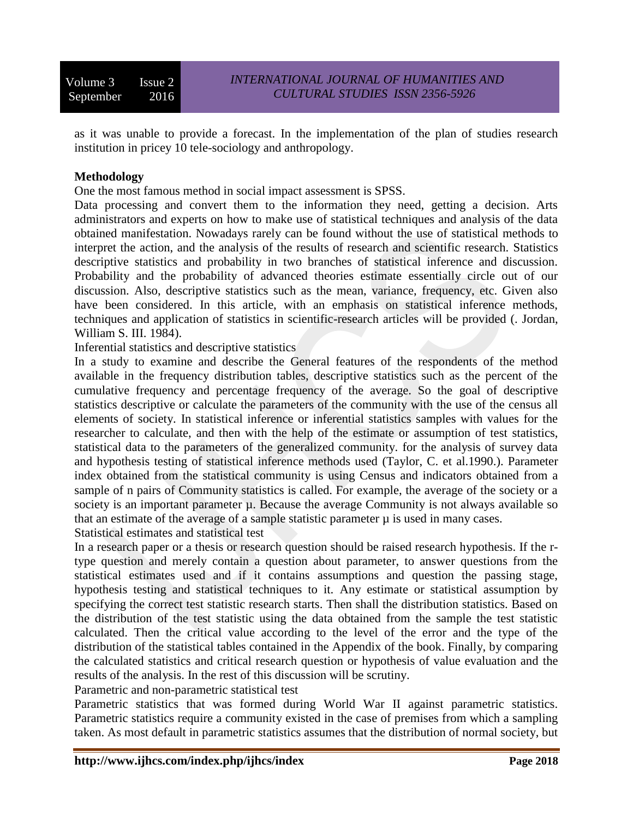Volume 3 Issue 2 September 2016

as it was unable to provide a forecast. In the implementation of the plan of studies research institution in pricey 10 tele-sociology and anthropology.

#### **Methodology**

One the most famous method in social impact assessment is SPSS.

Data processing and convert them to the information they need, getting a decision. Arts administrators and experts on how to make use of statistical techniques and analysis of the data obtained manifestation. Nowadays rarely can be found without the use of statistical methods to interpret the action, and the analysis of the results of research and scientific research. Statistics descriptive statistics and probability in two branches of statistical inference and discussion. Probability and the probability of advanced theories estimate essentially circle out of our discussion. Also, descriptive statistics such as the mean, variance, frequency, etc. Given also have been considered. In this article, with an emphasis on statistical inference methods, techniques and application of statistics in scientific-research articles will be provided (. Jordan, William S. III. 1984).

Inferential statistics and descriptive statistics

In a study to examine and describe the General features of the respondents of the method available in the frequency distribution tables, descriptive statistics such as the percent of the cumulative frequency and percentage frequency of the average. So the goal of descriptive statistics descriptive or calculate the parameters of the community with the use of the census all elements of society. In statistical inference or inferential statistics samples with values for the researcher to calculate, and then with the help of the estimate or assumption of test statistics, statistical data to the parameters of the generalized community. for the analysis of survey data and hypothesis testing of statistical inference methods used (Taylor, C. et al.1990.). Parameter index obtained from the statistical community is using Census and indicators obtained from a sample of n pairs of Community statistics is called. For example, the average of the society or a society is an important parameter  $\mu$ . Because the average Community is not always available so that an estimate of the average of a sample statistic parameter  $\mu$  is used in many cases.

Statistical estimates and statistical test

In a research paper or a thesis or research question should be raised research hypothesis. If the rtype question and merely contain a question about parameter, to answer questions from the statistical estimates used and if it contains assumptions and question the passing stage, hypothesis testing and statistical techniques to it. Any estimate or statistical assumption by specifying the correct test statistic research starts. Then shall the distribution statistics. Based on the distribution of the test statistic using the data obtained from the sample the test statistic calculated. Then the critical value according to the level of the error and the type of the distribution of the statistical tables contained in the Appendix of the book. Finally, by comparing the calculated statistics and critical research question or hypothesis of value evaluation and the results of the analysis. In the rest of this discussion will be scrutiny.

Parametric and non-parametric statistical test

Parametric statistics that was formed during World War II against parametric statistics. Parametric statistics require a community existed in the case of premises from which a sampling taken. As most default in parametric statistics assumes that the distribution of normal society, but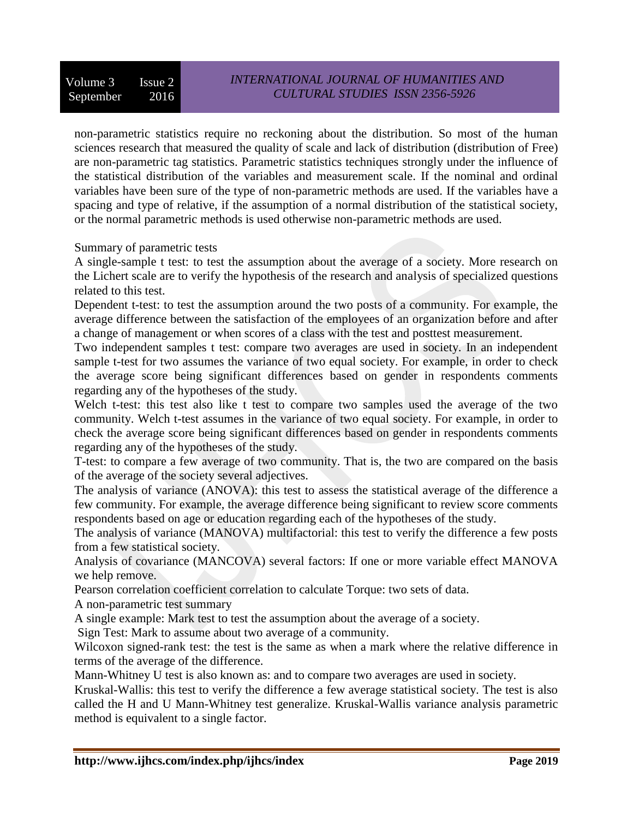non-parametric statistics require no reckoning about the distribution. So most of the human sciences research that measured the quality of scale and lack of distribution (distribution of Free) are non-parametric tag statistics. Parametric statistics techniques strongly under the influence of the statistical distribution of the variables and measurement scale. If the nominal and ordinal variables have been sure of the type of non-parametric methods are used. If the variables have a spacing and type of relative, if the assumption of a normal distribution of the statistical society, or the normal parametric methods is used otherwise non-parametric methods are used.

Summary of parametric tests

A single-sample t test: to test the assumption about the average of a society. More research on the Lichert scale are to verify the hypothesis of the research and analysis of specialized questions related to this test.

Dependent t-test: to test the assumption around the two posts of a community. For example, the average difference between the satisfaction of the employees of an organization before and after a change of management or when scores of a class with the test and posttest measurement.

Two independent samples t test: compare two averages are used in society. In an independent sample t-test for two assumes the variance of two equal society. For example, in order to check the average score being significant differences based on gender in respondents comments regarding any of the hypotheses of the study.

Welch t-test: this test also like t test to compare two samples used the average of the two community. Welch t-test assumes in the variance of two equal society. For example, in order to check the average score being significant differences based on gender in respondents comments regarding any of the hypotheses of the study.

T-test: to compare a few average of two community. That is, the two are compared on the basis of the average of the society several adjectives.

The analysis of variance (ANOVA): this test to assess the statistical average of the difference a few community. For example, the average difference being significant to review score comments respondents based on age or education regarding each of the hypotheses of the study.

The analysis of variance (MANOVA) multifactorial: this test to verify the difference a few posts from a few statistical society.

Analysis of covariance (MANCOVA) several factors: If one or more variable effect MANOVA we help remove.

Pearson correlation coefficient correlation to calculate Torque: two sets of data.

A non-parametric test summary

A single example: Mark test to test the assumption about the average of a society.

Sign Test: Mark to assume about two average of a community.

Wilcoxon signed-rank test: the test is the same as when a mark where the relative difference in terms of the average of the difference.

Mann-Whitney U test is also known as: and to compare two averages are used in society.

Kruskal-Wallis: this test to verify the difference a few average statistical society. The test is also called the H and U Mann-Whitney test generalize. Kruskal-Wallis variance analysis parametric method is equivalent to a single factor.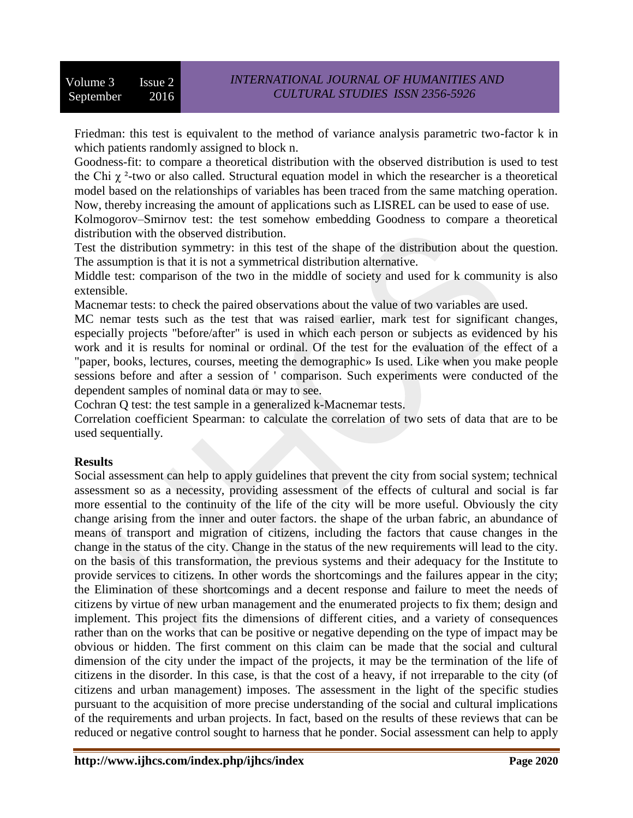Friedman: this test is equivalent to the method of variance analysis parametric two-factor k in which patients randomly assigned to block n.

Goodness-fit: to compare a theoretical distribution with the observed distribution is used to test the Chi  $\gamma$ <sup>2</sup>-two or also called. Structural equation model in which the researcher is a theoretical model based on the relationships of variables has been traced from the same matching operation. Now, thereby increasing the amount of applications such as LISREL can be used to ease of use.

Kolmogorov–Smirnov test: the test somehow embedding Goodness to compare a theoretical distribution with the observed distribution.

Test the distribution symmetry: in this test of the shape of the distribution about the question. The assumption is that it is not a symmetrical distribution alternative.

Middle test: comparison of the two in the middle of society and used for k community is also extensible.

Macnemar tests: to check the paired observations about the value of two variables are used.

MC nemar tests such as the test that was raised earlier, mark test for significant changes, especially projects "before/after" is used in which each person or subjects as evidenced by his work and it is results for nominal or ordinal. Of the test for the evaluation of the effect of a "paper, books, lectures, courses, meeting the demographic» Is used. Like when you make people sessions before and after a session of ' comparison. Such experiments were conducted of the dependent samples of nominal data or may to see.

Cochran Q test: the test sample in a generalized k-Macnemar tests.

Correlation coefficient Spearman: to calculate the correlation of two sets of data that are to be used sequentially.

# **Results**

Social assessment can help to apply guidelines that prevent the city from social system; technical assessment so as a necessity, providing assessment of the effects of cultural and social is far more essential to the continuity of the life of the city will be more useful. Obviously the city change arising from the inner and outer factors. the shape of the urban fabric, an abundance of means of transport and migration of citizens, including the factors that cause changes in the change in the status of the city. Change in the status of the new requirements will lead to the city. on the basis of this transformation, the previous systems and their adequacy for the Institute to provide services to citizens. In other words the shortcomings and the failures appear in the city; the Elimination of these shortcomings and a decent response and failure to meet the needs of citizens by virtue of new urban management and the enumerated projects to fix them; design and implement. This project fits the dimensions of different cities, and a variety of consequences rather than on the works that can be positive or negative depending on the type of impact may be obvious or hidden. The first comment on this claim can be made that the social and cultural dimension of the city under the impact of the projects, it may be the termination of the life of citizens in the disorder. In this case, is that the cost of a heavy, if not irreparable to the city (of citizens and urban management) imposes. The assessment in the light of the specific studies pursuant to the acquisition of more precise understanding of the social and cultural implications of the requirements and urban projects. In fact, based on the results of these reviews that can be reduced or negative control sought to harness that he ponder. Social assessment can help to apply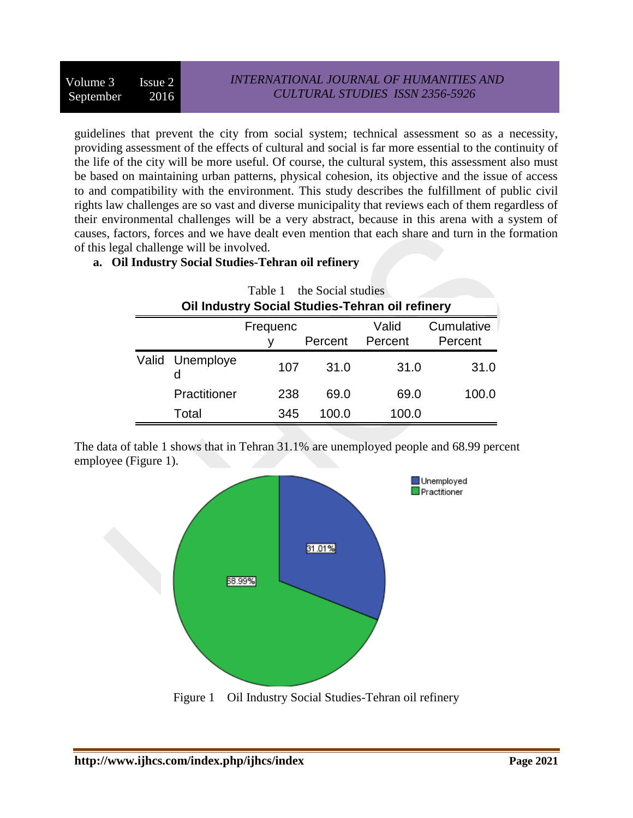guidelines that prevent the city from social system; technical assessment so as a necessity, providing assessment of the effects of cultural and social is far more essential to the continuity of the life of the city will be more useful. Of course, the cultural system, this assessment also must be based on maintaining urban patterns, physical cohesion, its objective and the issue of access to and compatibility with the environment. This study describes the fulfillment of public civil rights law challenges are so vast and diverse municipality that reviews each of them regardless of their environmental challenges will be a very abstract, because in this arena with a system of causes, factors, forces and we have dealt even mention that each share and turn in the formation of this legal challenge will be involved.

# **a. Oil Industry Social Studies-Tehran oil refinery**

| Table 1 the Social studies                      |                 |          |         |                  |                       |
|-------------------------------------------------|-----------------|----------|---------|------------------|-----------------------|
| Oil Industry Social Studies-Tehran oil refinery |                 |          |         |                  |                       |
|                                                 |                 | Frequenc | Percent | Valid<br>Percent | Cumulative<br>Percent |
|                                                 | Valid Unemploye | 107      | 31.0    | 31.0             | 31.0                  |
|                                                 | Practitioner    | 238      | 69.0    | 69.0             | 100.0                 |
|                                                 | Total           | 345      | 100.0   | 100.0            |                       |

The data of table 1 shows that in Tehran 31.1% are unemployed people and 68.99 percent employee (Figure 1).